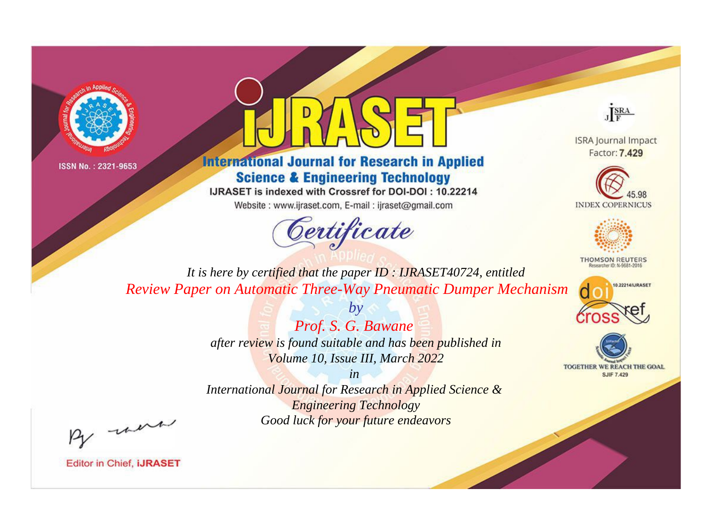



**International Journal for Research in Applied Science & Engineering Technology** 

IJRASET is indexed with Crossref for DOI-DOI: 10.22214

Website: www.ijraset.com, E-mail: ijraset@gmail.com



JERA

**ISRA Journal Impact** Factor: 7.429





**THOMSON REUTERS** 



TOGETHER WE REACH THE GOAL **SJIF 7.429** 

It is here by certified that the paper ID: IJRASET40724, entitled Review Paper on Automatic Three-Way Pneumatic Dumper Mechanism

> Prof. S. G. Bawane after review is found suitable and has been published in Volume 10, Issue III, March 2022

 $b\nu$ 

 $in$ International Journal for Research in Applied Science & **Engineering Technology** Good luck for your future endeavors

By morn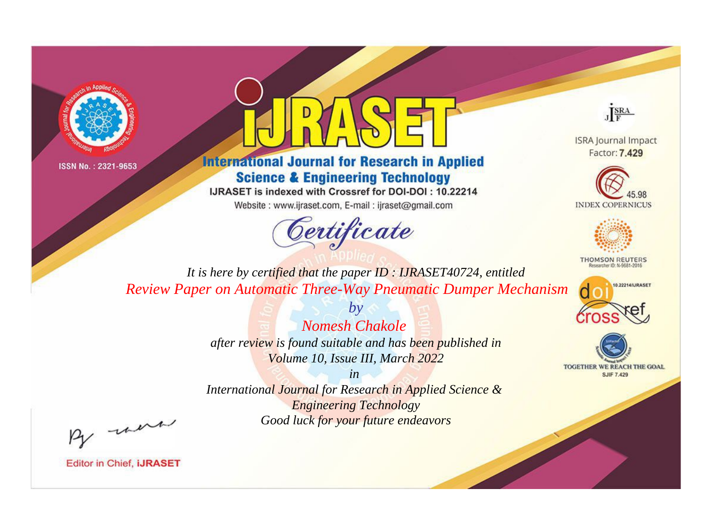



## **International Journal for Research in Applied Science & Engineering Technology**

IJRASET is indexed with Crossref for DOI-DOI: 10.22214

Website: www.ijraset.com, E-mail: ijraset@gmail.com



JERA

**ISRA Journal Impact** Factor: 7.429





**THOMSON REUTERS** 



TOGETHER WE REACH THE GOAL **SJIF 7.429** 

*It is here by certified that the paper ID : IJRASET40724, entitled Review Paper on Automatic Three-Way Pneumatic Dumper Mechanism*

> *Nomesh Chakole after review is found suitable and has been published in Volume 10, Issue III, March 2022*

*by*

*in* 

*International Journal for Research in Applied Science & Engineering Technology Good luck for your future endeavors*

By morn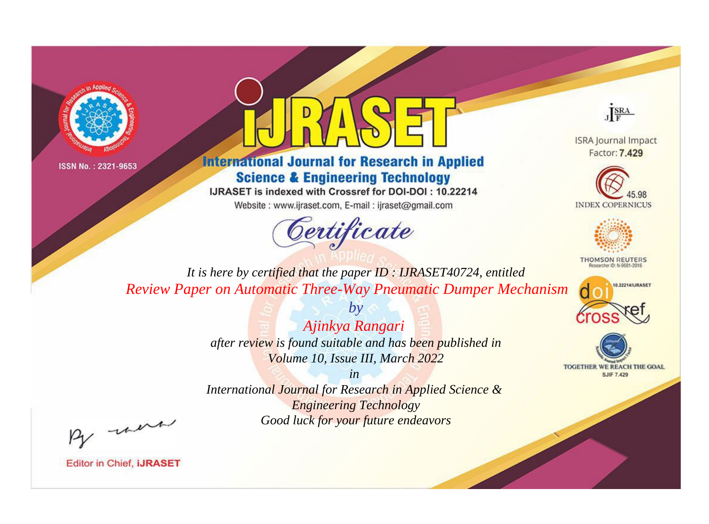



**International Journal for Research in Applied Science & Engineering Technology** 

IJRASET is indexed with Crossref for DOI-DOI: 10.22214

Website: www.ijraset.com, E-mail: ijraset@gmail.com



JERA

**ISRA Journal Impact** Factor: 7.429





**THOMSON REUTERS** 



TOGETHER WE REACH THE GOAL **SJIF 7.429** 

*It is here by certified that the paper ID : IJRASET40724, entitled Review Paper on Automatic Three-Way Pneumatic Dumper Mechanism*

> *Ajinkya Rangari after review is found suitable and has been published in Volume 10, Issue III, March 2022*

*by*

*in* 

*International Journal for Research in Applied Science & Engineering Technology Good luck for your future endeavors*

By morn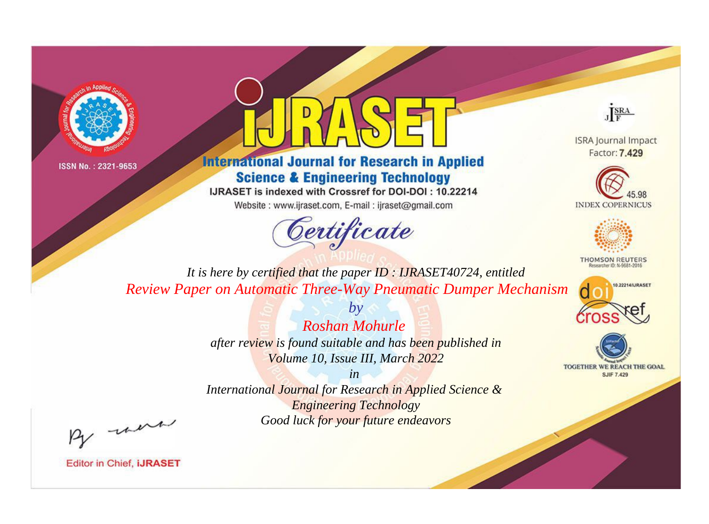



**International Journal for Research in Applied Science & Engineering Technology** 

IJRASET is indexed with Crossref for DOI-DOI: 10.22214

Website: www.ijraset.com, E-mail: ijraset@gmail.com



JERA

**ISRA Journal Impact** Factor: 7.429





**THOMSON REUTERS** 



TOGETHER WE REACH THE GOAL **SJIF 7.429** 

It is here by certified that the paper ID: IJRASET40724, entitled **Review Paper on Automatic Three-Way Pneumatic Dumper Mechanism** 

> **Roshan Mohurle** after review is found suitable and has been published in Volume 10, Issue III, March 2022

 $b\nu$ 

 $in$ International Journal for Research in Applied Science & **Engineering Technology** Good luck for your future endeavors

By morn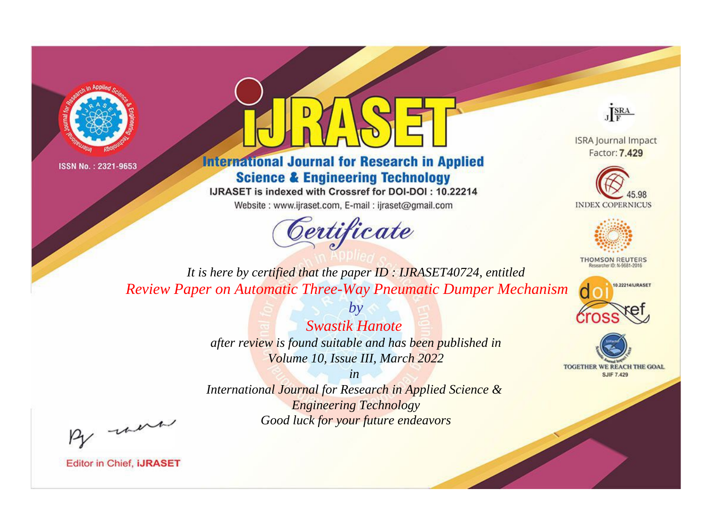



**International Journal for Research in Applied Science & Engineering Technology** 

IJRASET is indexed with Crossref for DOI-DOI: 10.22214

Website: www.ijraset.com, E-mail: ijraset@gmail.com



JERA

**ISRA Journal Impact** Factor: 7.429





**THOMSON REUTERS** 



TOGETHER WE REACH THE GOAL **SJIF 7.429** 

It is here by certified that the paper ID: IJRASET40724, entitled Review Paper on Automatic Three-Way Pneumatic Dumper Mechanism

> **Swastik Hanote** after review is found suitable and has been published in Volume 10, Issue III, March 2022

 $b\nu$ 

 $in$ International Journal for Research in Applied Science & **Engineering Technology** Good luck for your future endeavors

By morn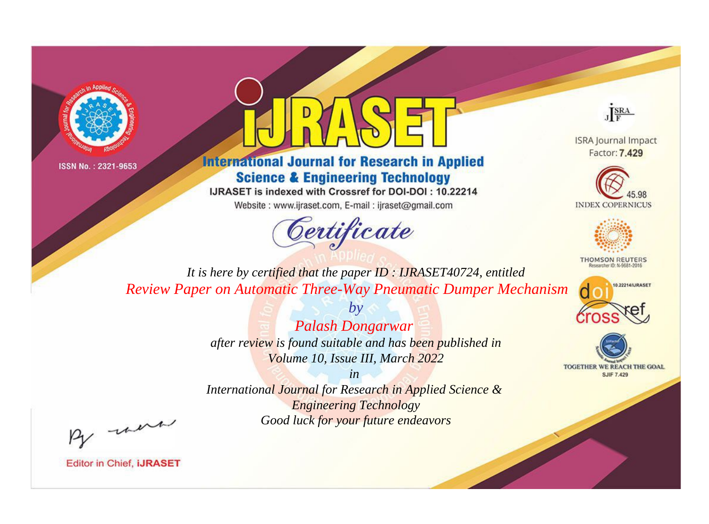



## **International Journal for Research in Applied Science & Engineering Technology**

IJRASET is indexed with Crossref for DOI-DOI: 10.22214

Website: www.ijraset.com, E-mail: ijraset@gmail.com



JERA

**ISRA Journal Impact** Factor: 7.429





**THOMSON REUTERS** 



TOGETHER WE REACH THE GOAL **SJIF 7.429** 

*It is here by certified that the paper ID : IJRASET40724, entitled Review Paper on Automatic Three-Way Pneumatic Dumper Mechanism*

> *Palash Dongarwar after review is found suitable and has been published in Volume 10, Issue III, March 2022*

*by*

*in* 

*International Journal for Research in Applied Science & Engineering Technology Good luck for your future endeavors*

By morn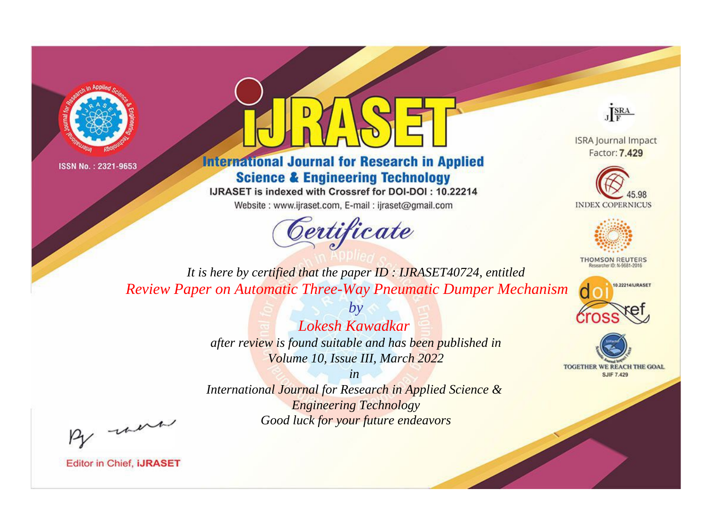



## **International Journal for Research in Applied Science & Engineering Technology**

IJRASET is indexed with Crossref for DOI-DOI: 10.22214

Website: www.ijraset.com, E-mail: ijraset@gmail.com





**ISRA Journal Impact** Factor: 7.429





**THOMSON REUTERS** 



TOGETHER WE REACH THE GOAL **SJIF 7.429** 

*It is here by certified that the paper ID : IJRASET40724, entitled Review Paper on Automatic Three-Way Pneumatic Dumper Mechanism*

> *Lokesh Kawadkar after review is found suitable and has been published in Volume 10, Issue III, March 2022*

*by*

*in International Journal for Research in Applied Science & Engineering Technology Good luck for your future endeavors*

By morn